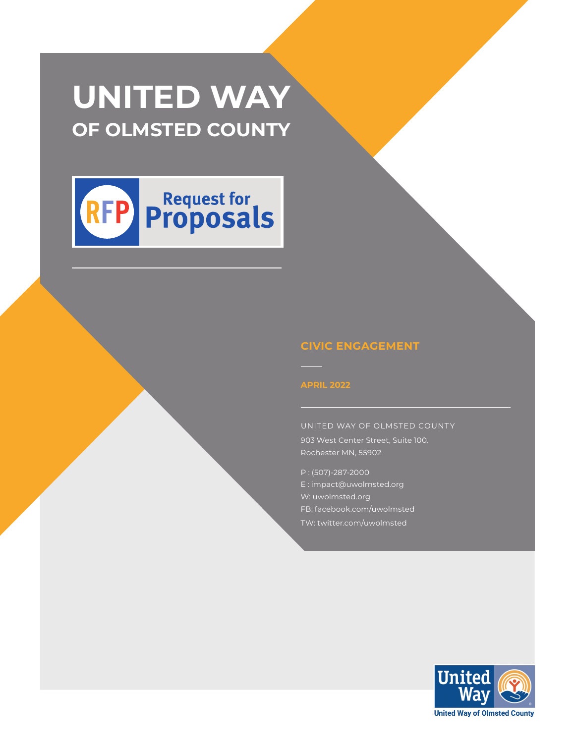# **UNITED WAY OF OLMSTED COUNTY**



### **CIVIC ENGAGEMENT**

UNITED WAY OF OLMSTED COUNTY 903 West Center Street, Suite 100. Rochester MN, 55902

P : (507)-287-2000 E : impact@uwolmsted.org W: uwolmsted.org FB: facebook.com/uwolmsted TW: twitter.com/uwolmsted

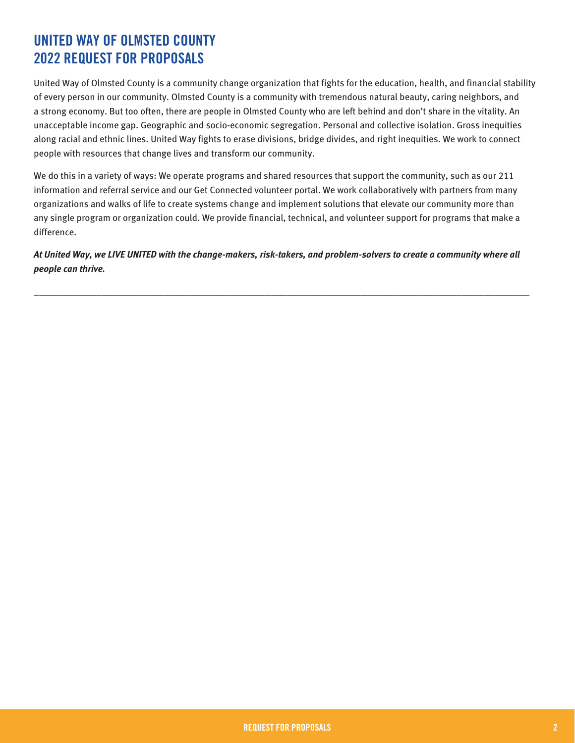### **UNITED WAY OF OLMSTED COUNTY 2022 REQUEST FOR PROPOSALS**

United Way of Olmsted County is a community change organization that fights for the education, health, and financial stability of every person in our community. Olmsted County is a community with tremendous natural beauty, caring neighbors, and a strong economy. But too often, there are people in Olmsted County who are left behind and don't share in the vitality. An unacceptable income gap. Geographic and socio-economic segregation. Personal and collective isolation. Gross inequities along racial and ethnic lines. United Way fights to erase divisions, bridge divides, and right inequities. We work to connect people with resources that change lives and transform our community.

We do this in a variety of ways: We operate programs and shared resources that support the community, such as our 211 information and referral service and our Get Connected volunteer portal. We work collaboratively with partners from many organizations and walks of life to create systems change and implement solutions that elevate our community more than any single program or organization could. We provide financial, technical, and volunteer support for programs that make a difference.

*At United Way, we LIVE UNITED with the change-makers, risk-takers, and problem-solvers to create a community where all people can thrive.* 

**\_\_\_\_\_\_\_\_\_\_\_\_\_\_\_\_\_\_\_\_\_\_\_\_\_\_\_\_\_\_\_\_\_\_\_\_\_\_\_\_\_\_\_\_\_\_\_\_\_\_\_\_\_\_\_\_\_\_\_\_\_\_\_\_\_\_\_\_\_\_\_\_\_\_\_\_\_\_\_\_\_\_\_\_\_\_\_\_**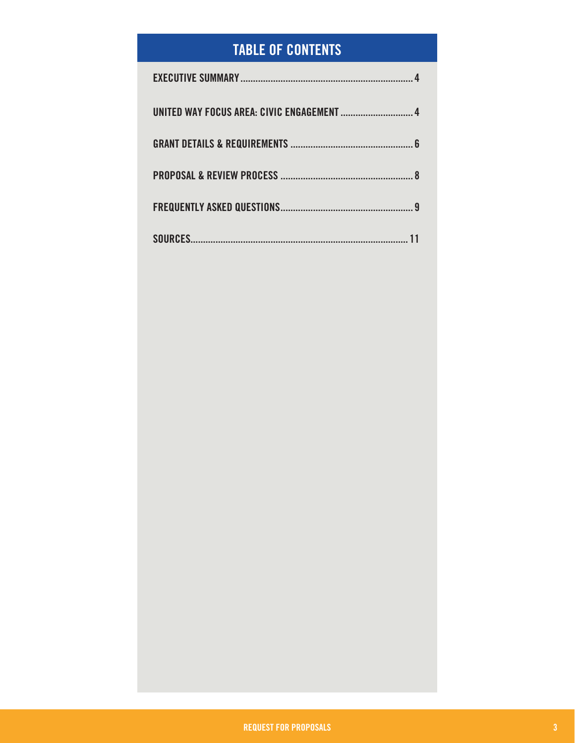## **TABLE OF CONTENTS**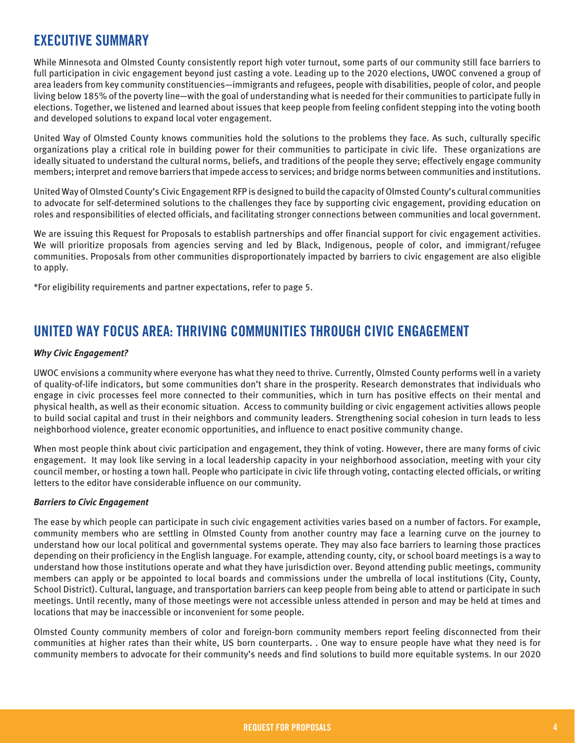### **EXECUTIVE SUMMARY**

While Minnesota and Olmsted County consistently report high voter turnout, some parts of our community still face barriers to full participation in civic engagement beyond just casting a vote. Leading up to the 2020 elections, UWOC convened a group of area leaders from key community constituencies—immigrants and refugees, people with disabilities, people of color, and people living below 185% of the poverty line—with the goal of understanding what is needed for their communities to participate fully in elections. Together, we listened and learned about issues that keep people from feeling confident stepping into the voting booth and developed solutions to expand local voter engagement.

United Way of Olmsted County knows communities hold the solutions to the problems they face. As such, culturally specific organizations play a critical role in building power for their communities to participate in civic life. These organizations are ideally situated to understand the cultural norms, beliefs, and traditions of the people they serve; effectively engage community members; interpret and remove barriers that impede access to services; and bridge norms between communities and institutions.

United Way of Olmsted County's Civic Engagement RFP is designed to build the capacity of Olmsted County's cultural communities to advocate for self-determined solutions to the challenges they face by supporting civic engagement, providing education on roles and responsibilities of elected officials, and facilitating stronger connections between communities and local government.

We are issuing this Request for Proposals to establish partnerships and offer financial support for civic engagement activities. We will prioritize proposals from agencies serving and led by Black, Indigenous, people of color, and immigrant/refugee communities. Proposals from other communities disproportionately impacted by barriers to civic engagement are also eligible to apply.

\*For eligibility requirements and partner expectations, refer to page 5.

### **UNITED WAY FOCUS AREA: THRIVING COMMUNITIES THROUGH CIVIC ENGAGEMENT**

#### *Why Civic Engagement?*

UWOC envisions a community where everyone has what they need to thrive. Currently, Olmsted County performs well in a variety of quality-of-life indicators, but some communities don't share in the prosperity. Research demonstrates that individuals who engage in civic processes feel more connected to their communities, which in turn has positive effects on their mental and physical health, as well as their economic situation. Access to community building or civic engagement activities allows people to build social capital and trust in their neighbors and community leaders. Strengthening social cohesion in turn leads to less neighborhood violence, greater economic opportunities, and influence to enact positive community change.

When most people think about civic participation and engagement, they think of voting. However, there are many forms of civic engagement. It may look like serving in a local leadership capacity in your neighborhood association, meeting with your city council member, or hosting a town hall. People who participate in civic life through voting, contacting elected officials, or writing letters to the editor have considerable influence on our community.

#### *Barriers to Civic Engagement*

The ease by which people can participate in such civic engagement activities varies based on a number of factors. For example, community members who are settling in Olmsted County from another country may face a learning curve on the journey to understand how our local political and governmental systems operate. They may also face barriers to learning those practices depending on their proficiency in the English language. For example, attending county, city, or school board meetings is a way to understand how those institutions operate and what they have jurisdiction over. Beyond attending public meetings, community members can apply or be appointed to local boards and commissions under the umbrella of local institutions (City, County, School District). Cultural, language, and transportation barriers can keep people from being able to attend or participate in such meetings. Until recently, many of those meetings were not accessible unless attended in person and may be held at times and locations that may be inaccessible or inconvenient for some people.

Olmsted County community members of color and foreign-born community members report feeling disconnected from their communities at higher rates than their white, US born counterparts. . One way to ensure people have what they need is for community members to advocate for their community's needs and find solutions to build more equitable systems. In our 2020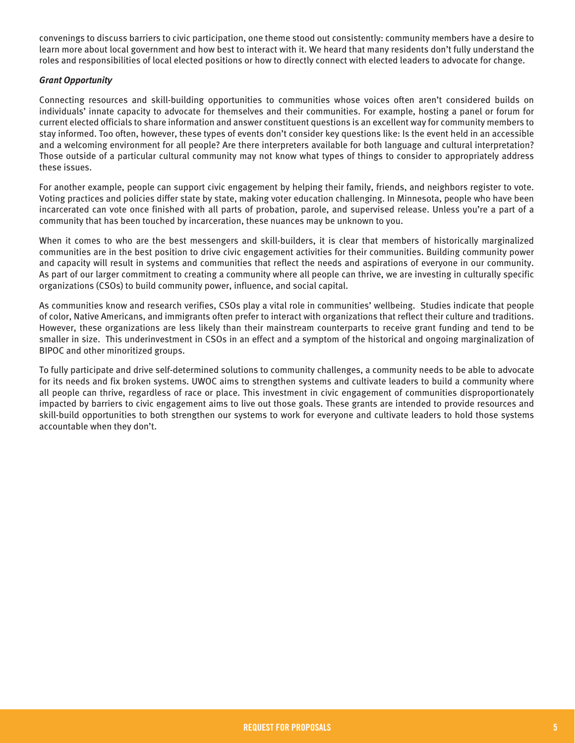convenings to discuss barriers to civic participation, one theme stood out consistently: community members have a desire to learn more about local government and how best to interact with it. We heard that many residents don't fully understand the roles and responsibilities of local elected positions or how to directly connect with elected leaders to advocate for change.

#### *Grant Opportunity*

Connecting resources and skill-building opportunities to communities whose voices often aren't considered builds on individuals' innate capacity to advocate for themselves and their communities. For example, hosting a panel or forum for current elected officials to share information and answer constituent questions is an excellent way for community members to stay informed. Too often, however, these types of events don't consider key questions like: Is the event held in an accessible and a welcoming environment for all people? Are there interpreters available for both language and cultural interpretation? Those outside of a particular cultural community may not know what types of things to consider to appropriately address these issues.

For another example, people can support civic engagement by helping their family, friends, and neighbors register to vote. Voting practices and policies differ state by state, making voter education challenging. In Minnesota, people who have been incarcerated can vote once finished with all parts of probation, parole, and supervised release. Unless you're a part of a community that has been touched by incarceration, these nuances may be unknown to you.

When it comes to who are the best messengers and skill-builders, it is clear that members of historically marginalized communities are in the best position to drive civic engagement activities for their communities. Building community power and capacity will result in systems and communities that reflect the needs and aspirations of everyone in our community. As part of our larger commitment to creating a community where all people can thrive, we are investing in culturally specific organizations (CSOs) to build community power, influence, and social capital.

As communities know and research verifies, CSOs play a vital role in communities' wellbeing. Studies indicate that people of color, Native Americans, and immigrants often prefer to interact with organizations that reflect their culture and traditions. However, these organizations are less likely than their mainstream counterparts to receive grant funding and tend to be smaller in size. This underinvestment in CSOs in an effect and a symptom of the historical and ongoing marginalization of BIPOC and other minoritized groups.

To fully participate and drive self-determined solutions to community challenges, a community needs to be able to advocate for its needs and fix broken systems. UWOC aims to strengthen systems and cultivate leaders to build a community where all people can thrive, regardless of race or place. This investment in civic engagement of communities disproportionately impacted by barriers to civic engagement aims to live out those goals. These grants are intended to provide resources and skill-build opportunities to both strengthen our systems to work for everyone and cultivate leaders to hold those systems accountable when they don't.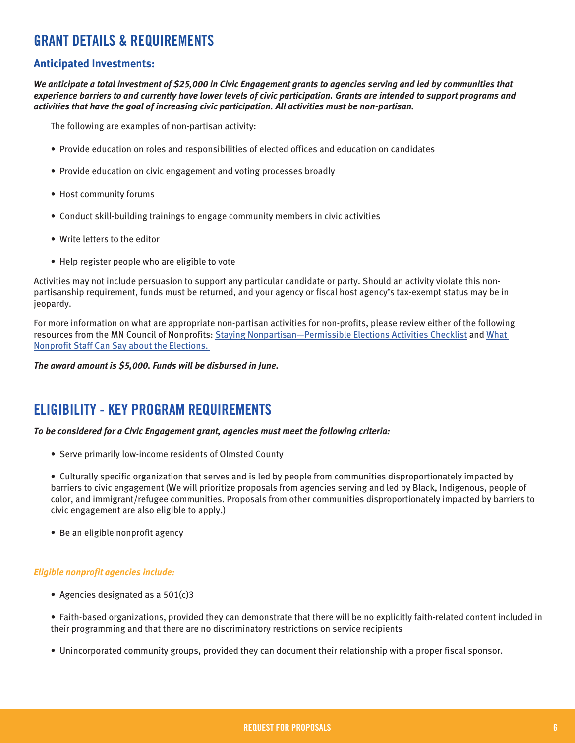### **GRANT DETAILS & REQUIREMENTS**

#### **Anticipated Investments:**

*We anticipate a total investment of \$25,000 in Civic Engagement grants to agencies serving and led by communities that experience barriers to and currently have lower levels of civic participation. Grants are intended to support programs and activities that have the goal of increasing civic participation. All activities must be non-partisan.*

The following are examples of non-partisan activity:

- Provide education on roles and responsibilities of elected offices and education on candidates
- Provide education on civic engagement and voting processes broadly
- Host community forums
- Conduct skill-building trainings to engage community members in civic activities
- Write letters to the editor
- Help register people who are eligible to vote

Activities may not include persuasion to support any particular candidate or party. Should an activity violate this nonpartisanship requirement, funds must be returned, and your agency or fiscal host agency's tax-exempt status may be in jeopardy.

For more information on what are appropriate non-partisan activities for non-profits, please review either of the following resources from the MN Council of Nonprofits: [Staying Nonpartisan—Permissible Elections Activities Checklist](https://www.minnesotanonprofits.org/docs/default-source/policy/staying-nonpartisan---permissible-election-activites-checklist.pdf?sfvrsn=59f0e1e0_2) and [What](https://www.minnesotanonprofits.org/docs/default-source/policy/what-nonprofit-staff-can-say-about-the-election.pdf?sfvrsn=d4af1018_4)  [Nonprofit Staff Can Say about the Elections.](https://www.minnesotanonprofits.org/docs/default-source/policy/what-nonprofit-staff-can-say-about-the-election.pdf?sfvrsn=d4af1018_4) 

*The award amount is \$5,000. Funds will be disbursed in June.*

### **ELIGIBILITY - KEY PROGRAM REQUIREMENTS**

*To be considered for a Civic Engagement grant, agencies must meet the following criteria:* 

• Serve primarily low-income residents of Olmsted County

• Culturally specific organization that serves and is led by people from communities disproportionately impacted by barriers to civic engagement (We will prioritize proposals from agencies serving and led by Black, Indigenous, people of color, and immigrant/refugee communities. Proposals from other communities disproportionately impacted by barriers to civic engagement are also eligible to apply.)

• Be an eligible nonprofit agency

#### *Eligible nonprofit agencies include:*

• Agencies designated as a 501(c)3

• Faith-based organizations, provided they can demonstrate that there will be no explicitly faith-related content included in their programming and that there are no discriminatory restrictions on service recipients

• Unincorporated community groups, provided they can document their relationship with a proper fiscal sponsor.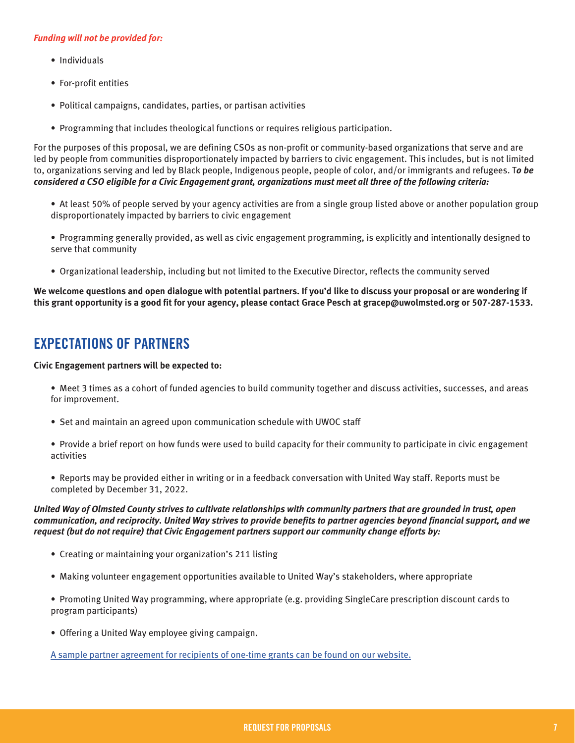#### *Funding will not be provided for:*

- Individuals
- For-profit entities
- Political campaigns, candidates, parties, or partisan activities
- Programming that includes theological functions or requires religious participation.

For the purposes of this proposal, we are defining CSOs as non-profit or community-based organizations that serve and are led by people from communities disproportionately impacted by barriers to civic engagement. This includes, but is not limited to, organizations serving and led by Black people, Indigenous people, people of color, and/or immigrants and refugees. T*o be considered a CSO eligible for a Civic Engagement grant, organizations must meet all three of the following criteria:*

- At least 50% of people served by your agency activities are from a single group listed above or another population group disproportionately impacted by barriers to civic engagement
- Programming generally provided, as well as civic engagement programming, is explicitly and intentionally designed to serve that community
- Organizational leadership, including but not limited to the Executive Director, reflects the community served

**We welcome questions and open dialogue with potential partners. If you'd like to discuss your proposal or are wondering if this grant opportunity is a good fit for your agency, please contact Grace Pesch at gracep@uwolmsted.org or 507-287-1533.**

### **EXPECTATIONS OF PARTNERS**

#### **Civic Engagement partners will be expected to:**

- Meet 3 times as a cohort of funded agencies to build community together and discuss activities, successes, and areas for improvement.
- Set and maintain an agreed upon communication schedule with UWOC staff
- Provide a brief report on how funds were used to build capacity for their community to participate in civic engagement activities
- Reports may be provided either in writing or in a feedback conversation with United Way staff. Reports must be completed by December 31, 2022.

#### *United Way of Olmsted County strives to cultivate relationships with community partners that are grounded in trust, open communication, and reciprocity. United Way strives to provide benefits to partner agencies beyond financial support, and we request (but do not require) that Civic Engagement partners support our community change efforts by:*

- Creating or maintaining your organization's 211 listing
- Making volunteer engagement opportunities available to United Way's stakeholders, where appropriate
- Promoting United Way programming, where appropriate (e.g. providing SingleCare prescription discount cards to program participants)
- Offering a United Way employee giving campaign.

[A sample partner agreement for recipients of one-time grants can be found on our website.](https://www.uwolmsted.org/sites/uwolmsted.org/files/Sample%20one-time%20agreement%20for%20website.pdf)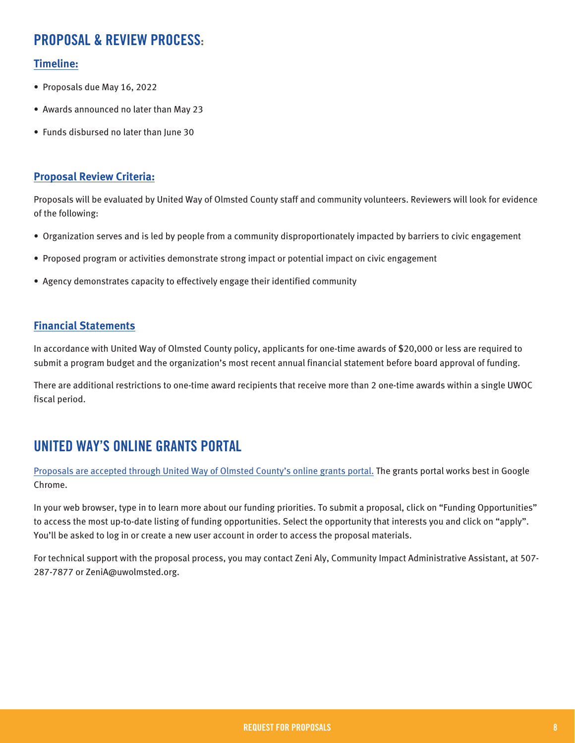### **PROPOSAL & REVIEW PROCESS:**

#### **Timeline:**

- Proposals due May 16, 2022
- Awards announced no later than May 23
- Funds disbursed no later than June 30

#### **Proposal Review Criteria:**

Proposals will be evaluated by United Way of Olmsted County staff and community volunteers. Reviewers will look for evidence of the following:

- Organization serves and is led by people from a community disproportionately impacted by barriers to civic engagement
- Proposed program or activities demonstrate strong impact or potential impact on civic engagement
- Agency demonstrates capacity to effectively engage their identified community

#### **Financial Statements**

In accordance with United Way of Olmsted County policy, applicants for one-time awards of \$20,000 or less are required to submit a program budget and the organization's most recent annual financial statement before board approval of funding.

There are additional restrictions to one-time award recipients that receive more than 2 one-time awards within a single UWOC fiscal period.

### **UNITED WAY'S ONLINE GRANTS PORTAL**

[Proposals are accepted through United Way of Olmsted County's online grants portal.](https://uwolmsted.communityforce.com/Funds/Search.aspx#4371597136646D517975544F5976596D4E73384E69673D3D) The grants portal works best in Google Chrome.

In your web browser, type in to learn more about our funding priorities. To submit a proposal, click on "Funding Opportunities" to access the most up-to-date listing of funding opportunities. Select the opportunity that interests you and click on "apply". You'll be asked to log in or create a new user account in order to access the proposal materials.

For technical support with the proposal process, you may contact Zeni Aly, Community Impact Administrative Assistant, at 507- 287-7877 or ZeniA@uwolmsted.org.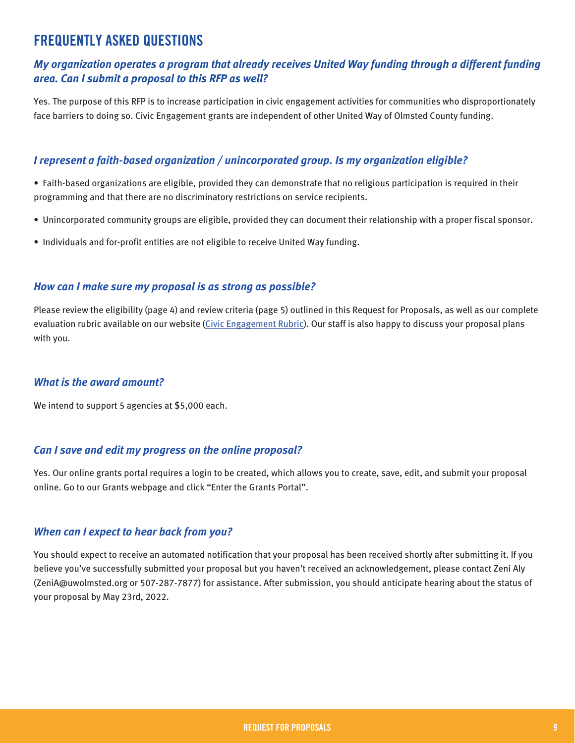### **FREQUENTLY ASKED QUESTIONS**

#### *My organization operates a program that already receives United Way funding through a different funding area. Can I submit a proposal to this RFP as well?*

Yes. The purpose of this RFP is to increase participation in civic engagement activities for communities who disproportionately face barriers to doing so. Civic Engagement grants are independent of other United Way of Olmsted County funding.

#### *I represent a faith-based organization / unincorporated group. Is my organization eligible?*

• Faith-based organizations are eligible, provided they can demonstrate that no religious participation is required in their programming and that there are no discriminatory restrictions on service recipients.

- Unincorporated community groups are eligible, provided they can document their relationship with a proper fiscal sponsor.
- Individuals and for-profit entities are not eligible to receive United Way funding.

#### *How can I make sure my proposal is as strong as possible?*

Please review the eligibility (page 4) and review criteria (page 5) outlined in this Request for Proposals, as well as our complete evaluation rubric available on our website ([Civic Engagement Rubric](https://www.uwolmsted.org/sites/uwolmsted.org/files/BBB%20evaluation%20rubric.pdf)). Our staff is also happy to discuss your proposal plans with you.

#### *What is the award amount?*

We intend to support 5 agencies at \$5,000 each.

#### *Can I save and edit my progress on the online proposal?*

Yes. Our online grants portal requires a login to be created, which allows you to create, save, edit, and submit your proposal online. Go to our Grants webpage and click "Enter the Grants Portal".

#### *When can I expect to hear back from you?*

You should expect to receive an automated notification that your proposal has been received shortly after submitting it. If you believe you've successfully submitted your proposal but you haven't received an acknowledgement, please contact Zeni Aly (ZeniA@uwolmsted.org or 507-287-7877) for assistance. After submission, you should anticipate hearing about the status of your proposal by May 23rd, 2022.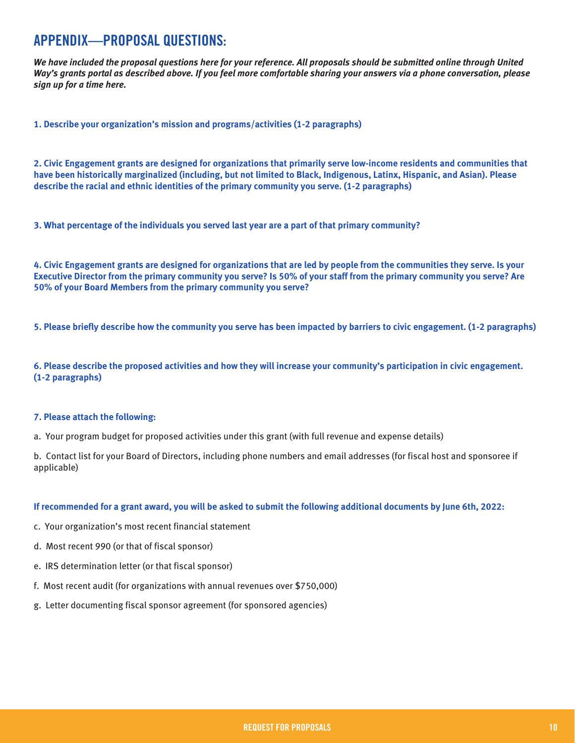### **APPENDIX—PROPOSAL QUESTIONS:**

*We have included the proposal questions here for your reference. All proposals should be submitted online through United Way's grants portal as described above. If you feel more comfortable sharing your answers via a phone conversation, please sign up for a time here.* 

**1. Describe your organization's mission and programs/activities (1-2 paragraphs)**

**2. Civic Engagement grants are designed for organizations that primarily serve low-income residents and communities that have been historically marginalized (including, but not limited to Black, Indigenous, Latinx, Hispanic, and Asian). Please describe the racial and ethnic identities of the primary community you serve. (1-2 paragraphs)**

**3. What percentage of the individuals you served last year are a part of that primary community?** 

**4. Civic Engagement grants are designed for organizations that are led by people from the communities they serve. Is your Executive Director from the primary community you serve? Is 50% of your staff from the primary community you serve? Are 50% of your Board Members from the primary community you serve?** 

**5. Please briefly describe how the community you serve has been impacted by barriers to civic engagement. (1-2 paragraphs)**

**6. Please describe the proposed activities and how they will increase your community's participation in civic engagement. (1-2 paragraphs)** 

#### **7. Please attach the following:**

a. Your program budget for proposed activities under this grant (with full revenue and expense details)

b. Contact list for your Board of Directors, including phone numbers and email addresses (for fiscal host and sponsoree if applicable)

#### **If recommended for a grant award, you will be asked to submit the following additional documents by June 6th, 2022:**

- c. Your organization's most recent financial statement
- d. Most recent 990 (or that of fiscal sponsor)
- e. IRS determination letter (or that fiscal sponsor)
- f. Most recent audit (for organizations with annual revenues over \$750,000)
- g. Letter documenting fiscal sponsor agreement (for sponsored agencies)